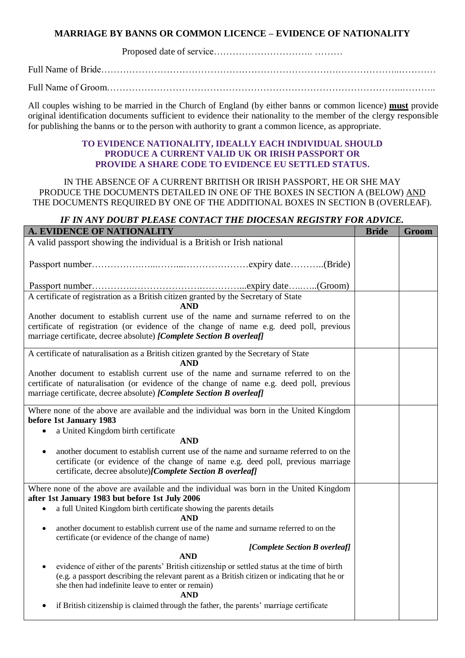## **MARRIAGE BY BANNS OR COMMON LICENCE – EVIDENCE OF NATIONALITY**

Proposed date of service………………………….. ………

Full Name of Bride………………………………………………………………….………………..…………

Full Name of Groom…………………………………………………………………………………..………..

All couples wishing to be married in the Church of England (by either banns or common licence) **must** provide original identification documents sufficient to evidence their nationality to the member of the clergy responsible for publishing the banns or to the person with authority to grant a common licence, as appropriate.

## **TO EVIDENCE NATIONALITY, IDEALLY EACH INDIVIDUAL SHOULD PRODUCE A CURRENT VALID UK OR IRISH PASSPORT OR PROVIDE A SHARE CODE TO EVIDENCE EU SETTLED STATUS.**

IN THE ABSENCE OF A CURRENT BRITISH OR IRISH PASSPORT, HE OR SHE MAY PRODUCE THE DOCUMENTS DETAILED IN ONE OF THE BOXES IN SECTION A (BELOW) AND THE DOCUMENTS REQUIRED BY ONE OF THE ADDITIONAL BOXES IN SECTION B (OVERLEAF).

## *IF IN ANY DOUBT PLEASE CONTACT THE DIOCESAN REGISTRY FOR ADVICE.*

| A. EVIDENCE OF NATIONALITY                                                                                                                                                                                                                                                                   | <b>Bride</b> | Groom |
|----------------------------------------------------------------------------------------------------------------------------------------------------------------------------------------------------------------------------------------------------------------------------------------------|--------------|-------|
| A valid passport showing the individual is a British or Irish national                                                                                                                                                                                                                       |              |       |
|                                                                                                                                                                                                                                                                                              |              |       |
|                                                                                                                                                                                                                                                                                              |              |       |
| A certificate of registration as a British citizen granted by the Secretary of State<br><b>AND</b>                                                                                                                                                                                           |              |       |
| Another document to establish current use of the name and surname referred to on the<br>certificate of registration (or evidence of the change of name e.g. deed poll, previous<br>marriage certificate, decree absolute) [Complete Section B overleaf]                                      |              |       |
| A certificate of naturalisation as a British citizen granted by the Secretary of State<br><b>AND</b>                                                                                                                                                                                         |              |       |
| Another document to establish current use of the name and surname referred to on the<br>certificate of naturalisation (or evidence of the change of name e.g. deed poll, previous<br>marriage certificate, decree absolute) [Complete Section B overleaf]                                    |              |       |
| Where none of the above are available and the individual was born in the United Kingdom<br>before 1st January 1983                                                                                                                                                                           |              |       |
| a United Kingdom birth certificate<br>$\bullet$                                                                                                                                                                                                                                              |              |       |
| <b>AND</b>                                                                                                                                                                                                                                                                                   |              |       |
| another document to establish current use of the name and surname referred to on the<br>$\bullet$<br>certificate (or evidence of the change of name e.g. deed poll, previous marriage<br>certificate, decree absolute)[Complete Section B overleaf]                                          |              |       |
| Where none of the above are available and the individual was born in the United Kingdom<br>after 1st January 1983 but before 1st July 2006                                                                                                                                                   |              |       |
| a full United Kingdom birth certificate showing the parents details<br>$\bullet$<br><b>AND</b>                                                                                                                                                                                               |              |       |
| another document to establish current use of the name and surname referred to on the<br>$\bullet$<br>certificate (or evidence of the change of name)                                                                                                                                         |              |       |
| [Complete Section B overleaf]                                                                                                                                                                                                                                                                |              |       |
| <b>AND</b><br>evidence of either of the parents' British citizenship or settled status at the time of birth<br>$\bullet$<br>(e.g. a passport describing the relevant parent as a British citizen or indicating that he or<br>she then had indefinite leave to enter or remain)<br><b>AND</b> |              |       |
| if British citizenship is claimed through the father, the parents' marriage certificate                                                                                                                                                                                                      |              |       |